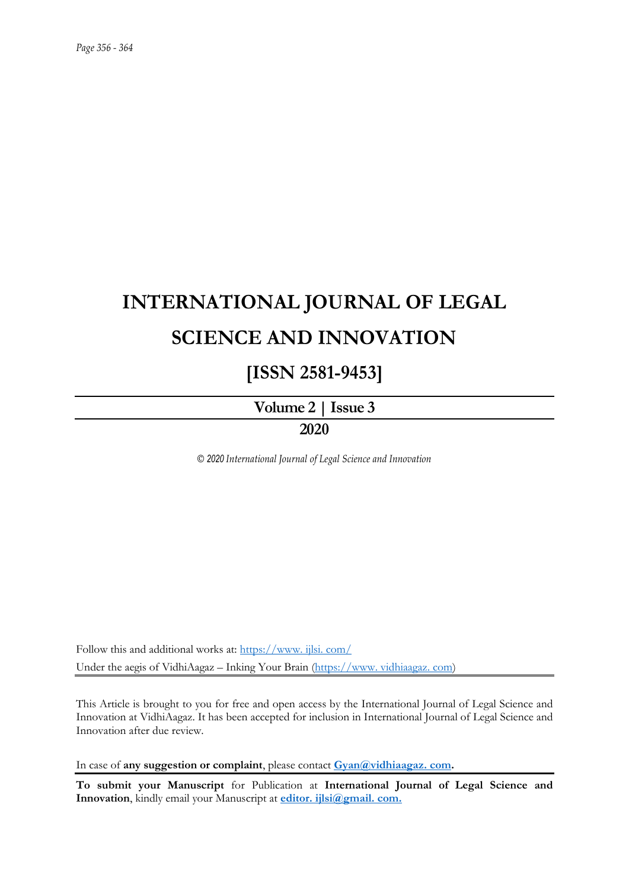# **INTERNATIONAL JOURNAL OF LEGAL SCIENCE AND INNOVATION**

# **[ISSN 2581-9453]**

# **Volume 2 | Issue 3**

# **2020**

*© 2020 International Journal of Legal Science and Innovation*

Follow this and additional works at: [https://www. ijlsi. com/](https://www.ijlsi.com/) Under the aegis of VidhiAagaz – Inking Your Brain [\(https://www. vidhiaagaz. com\)](https://www.vidhiaagaz.com/)

This Article is brought to you for free and open access by the International Journal of Legal Science and Innovation at VidhiAagaz. It has been accepted for inclusion in International Journal of Legal Science and Innovation after due review.

In case of **any suggestion or complaint**, please contact **[Gyan@vidhiaagaz. com.](mailto:Gyan@vidhiaagaz.com)** 

**To submit your Manuscript** for Publication at **International Journal of Legal Science and Innovation**, kindly email your Manuscript at **[editor. ijlsi@gmail. com.](mailto:editor.ijlsi@gmail.com)**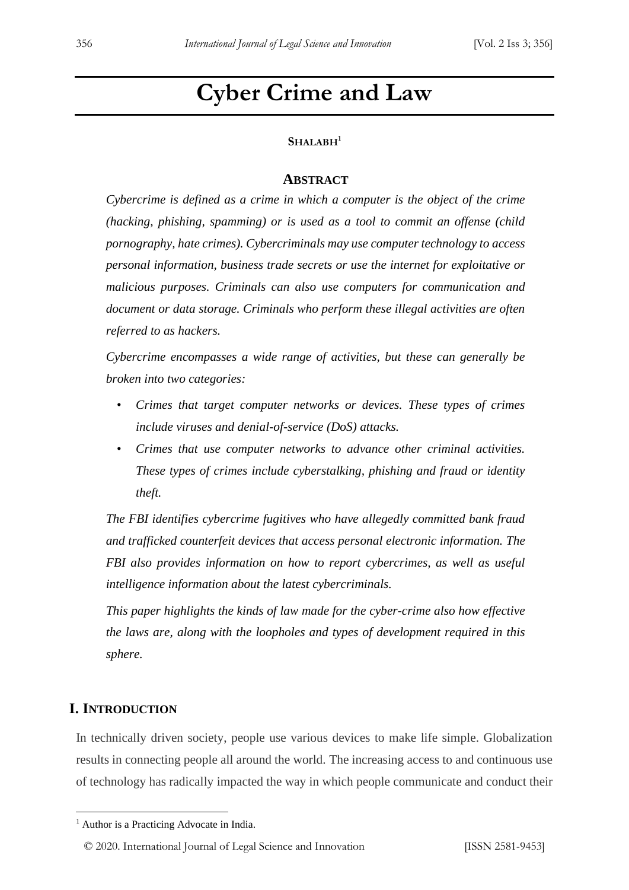# **Cyber Crime and Law**

# **SHALABH<sup>1</sup>**

## **ABSTRACT**

*Cybercrime is defined as a crime in which a computer is the object of the crime (hacking, phishing, spamming) or is used as a tool to commit an offense (child pornography, hate crimes). Cybercriminals may use computer technology to access personal information, business trade secrets or use the internet for exploitative or malicious purposes. Criminals can also use computers for communication and document or data storage. Criminals who perform these illegal activities are often referred to as hackers.*

*Cybercrime encompasses a wide range of activities, but these can generally be broken into two categories:*

- *Crimes that target computer networks or devices. These types of crimes include viruses and denial-of-service (DoS) attacks.*
- *Crimes that use computer networks to advance other criminal activities. These types of crimes include cyberstalking, phishing and fraud or identity theft.*

*The FBI identifies cybercrime fugitives who have allegedly committed bank fraud and trafficked counterfeit devices that access personal electronic information. The FBI also provides information on how to report cybercrimes, as well as useful intelligence information about the latest cybercriminals.*

*This paper highlights the kinds of law made for the cyber-crime also how effective the laws are, along with the loopholes and types of development required in this sphere.*

## **I. INTRODUCTION**

In technically driven society, people use various devices to make life simple. Globalization results in connecting people all around the world. The increasing access to and continuous use of technology has radically impacted the way in which people communicate and conduct their

<sup>&</sup>lt;sup>1</sup> Author is a Practicing Advocate in India.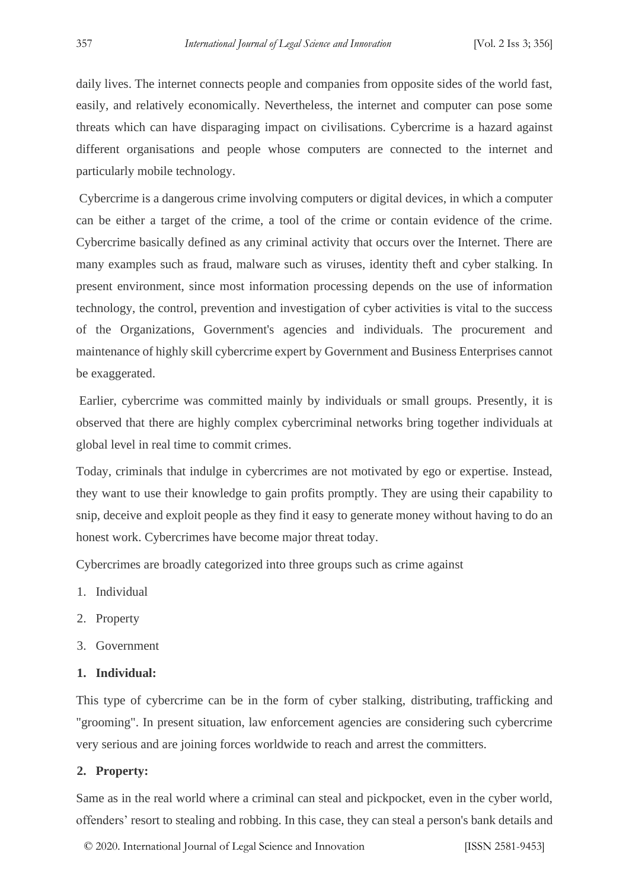daily lives. The internet connects people and companies from opposite sides of the world fast, easily, and relatively economically. Nevertheless, the internet and computer can pose some threats which can have disparaging impact on civilisations. Cybercrime is a hazard against different organisations and people whose computers are connected to the internet and particularly mobile technology.

Cybercrime is a dangerous crime involving computers or digital devices, in which a computer can be either a target of the crime, a tool of the crime or contain evidence of the crime. Cybercrime basically defined as any criminal activity that occurs over the Internet. There are many examples such as fraud, malware such as viruses, identity theft and cyber stalking. In present environment, since most information processing depends on the use of information technology, the control, prevention and investigation of cyber activities is vital to the success of the Organizations, Government's agencies and individuals. The procurement and maintenance of highly skill cybercrime expert by Government and Business Enterprises cannot be exaggerated.

Earlier, cybercrime was committed mainly by individuals or small groups. Presently, it is observed that there are highly complex cybercriminal networks bring together individuals at global level in real time to commit crimes.

Today, criminals that indulge in cybercrimes are not motivated by ego or expertise. Instead, they want to use their knowledge to gain profits promptly. They are using their capability to snip, deceive and exploit people as they find it easy to generate money without having to do an honest work. Cybercrimes have become major threat today.

Cybercrimes are broadly categorized into three groups such as crime against

- 1. Individual
- 2. Property
- 3. Government

#### **1. Individual:**

This type of cybercrime can be in the form of cyber stalking, distributing, trafficking and "grooming". In present situation, law enforcement agencies are considering such cybercrime very serious and are joining forces worldwide to reach and arrest the committers.

#### **2. Property:**

Same as in the real world where a criminal can steal and pickpocket, even in the cyber world, offenders' resort to stealing and robbing. In this case, they can steal a person's bank details and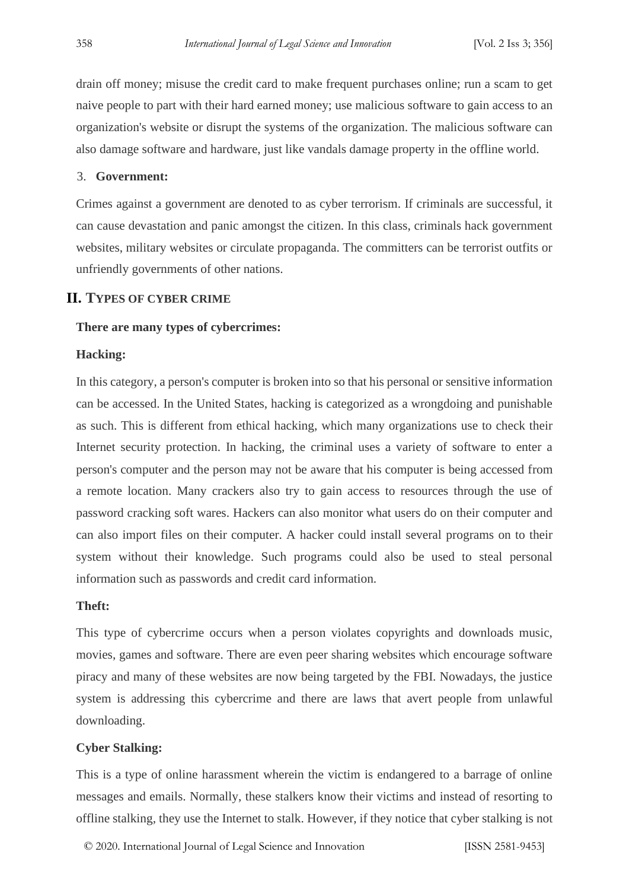drain off money; misuse the credit card to make frequent purchases online; run a scam to get naive people to part with their hard earned money; use malicious software to gain access to an organization's website or disrupt the systems of the organization. The malicious software can also damage software and hardware, just like vandals damage property in the offline world.

#### 3. **Government:**

Crimes against a government are denoted to as cyber terrorism. If criminals are successful, it can cause devastation and panic amongst the citizen. In this class, criminals hack government websites, military websites or circulate propaganda. The committers can be terrorist outfits or unfriendly governments of other nations.

#### **II. TYPES OF CYBER CRIME**

#### **There are many types of cybercrimes:**

#### **Hacking:**

In this category, a person's computer is broken into so that his personal or sensitive information can be accessed. In the United States, hacking is categorized as a wrongdoing and punishable as such. This is different from ethical hacking, which many organizations use to check their Internet security protection. In hacking, the criminal uses a variety of software to enter a person's computer and the person may not be aware that his computer is being accessed from a remote location. Many crackers also try to gain access to resources through the use of password cracking soft wares. Hackers can also monitor what users do on their computer and can also import files on their computer. A hacker could install several programs on to their system without their knowledge. Such programs could also be used to steal personal information such as passwords and credit card information.

#### **Theft:**

This type of cybercrime occurs when a person violates copyrights and downloads music, movies, games and software. There are even peer sharing websites which encourage software piracy and many of these websites are now being targeted by the FBI. Nowadays, the justice system is addressing this cybercrime and there are laws that avert people from unlawful downloading.

#### **Cyber Stalking:**

This is a type of online harassment wherein the victim is endangered to a barrage of online messages and emails. Normally, these stalkers know their victims and instead of resorting to offline stalking, they use the Internet to stalk. However, if they notice that cyber stalking is not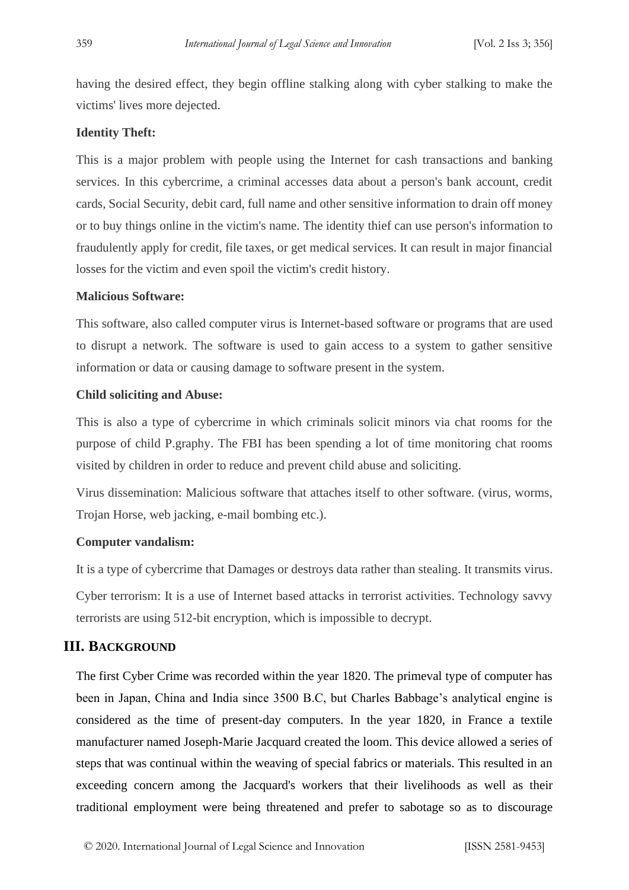having the desired effect, they begin offline stalking along with cyber stalking to make the victims' lives more dejected.

#### **Identity Theft:**

This is a major problem with people using the Internet for cash transactions and banking services. In this cybercrime, a criminal accesses data about a person's bank account, credit cards, Social Security, debit card, full name and other sensitive information to drain off money or to buy things online in the victim's name. The identity thief can use person's information to fraudulently apply for credit, file taxes, or get medical services. It can result in major financial losses for the victim and even spoil the victim's credit history.

### **Malicious Software:**

This software, also called computer virus is Internet-based software or programs that are used to disrupt a network. The software is used to gain access to a system to gather sensitive information or data or causing damage to software present in the system.

#### **Child soliciting and Abuse:**

This is also a type of cybercrime in which criminals solicit minors via chat rooms for the purpose of child P.graphy. The FBI has been spending a lot of time monitoring chat rooms visited by children in order to reduce and prevent child abuse and soliciting.

Virus dissemination: Malicious software that attaches itself to other software. (virus, worms, Trojan Horse, web jacking, e-mail bombing etc.).

#### **Computer vandalism:**

It is a type of cybercrime that Damages or destroys data rather than stealing. It transmits virus.

Cyber terrorism: It is a use of Internet based attacks in terrorist activities. Technology savvy terrorists are using 512-bit encryption, which is impossible to decrypt.

# **III. BACKGROUND**

The first Cyber Crime was recorded within the year 1820. The primeval type of computer has been in Japan, China and India since 3500 B.C, but Charles Babbage's analytical engine is considered as the time of present-day computers. In the year 1820, in France a textile manufacturer named Joseph-Marie Jacquard created the loom. This device allowed a series of steps that was continual within the weaving of special fabrics or materials. This resulted in an exceeding concern among the Jacquard's workers that their livelihoods as well as their traditional employment were being threatened and prefer to sabotage so as to discourage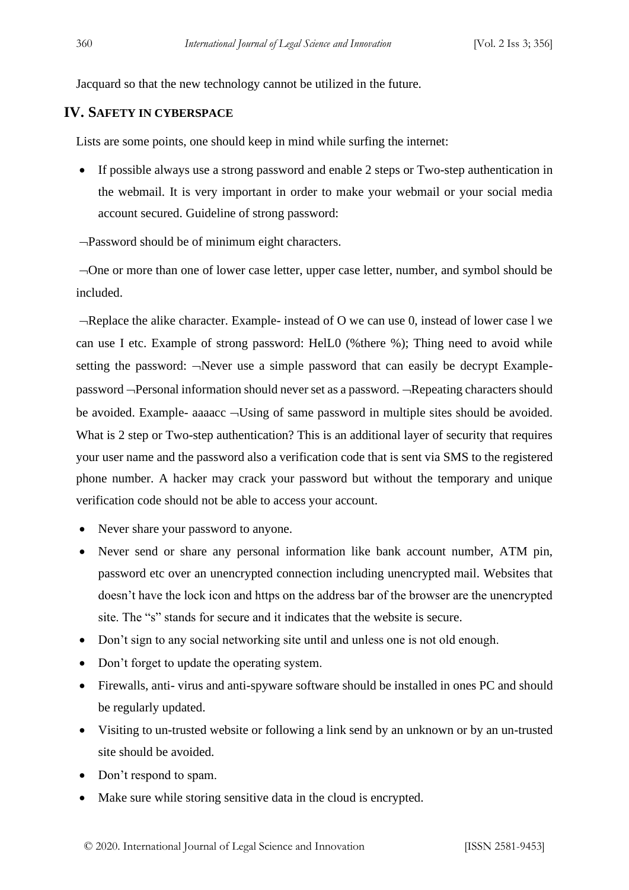Jacquard so that the new technology cannot be utilized in the future.

# **IV. SAFETY IN CYBERSPACE**

Lists are some points, one should keep in mind while surfing the internet:

• If possible always use a strong password and enable 2 steps or Two-step authentication in the webmail. It is very important in order to make your webmail or your social media account secured. Guideline of strong password:

Password should be of minimum eight characters.

One or more than one of lower case letter, upper case letter, number, and symbol should be included.

 $\neg$ Replace the alike character. Example- instead of O we can use 0, instead of lower case l we can use I etc. Example of strong password: HelL0 (%there %); Thing need to avoid while setting the password:  $\neg$ Never use a simple password that can easily be decrypt Examplepassword - Personal information should never set as a password. - Repeating characters should be avoided. Example- aaaacc  $\neg$ Using of same password in multiple sites should be avoided. What is 2 step or Two-step authentication? This is an additional layer of security that requires your user name and the password also a verification code that is sent via SMS to the registered phone number. A hacker may crack your password but without the temporary and unique verification code should not be able to access your account.

- Never share your password to anyone.
- Never send or share any personal information like bank account number. ATM pin, password etc over an unencrypted connection including unencrypted mail. Websites that doesn't have the lock icon and https on the address bar of the browser are the unencrypted site. The "s" stands for secure and it indicates that the website is secure.
- Don't sign to any social networking site until and unless one is not old enough.
- Don't forget to update the operating system.
- Firewalls, anti- virus and anti-spyware software should be installed in ones PC and should be regularly updated.
- Visiting to un-trusted website or following a link send by an unknown or by an un-trusted site should be avoided.
- Don't respond to spam.
- Make sure while storing sensitive data in the cloud is encrypted.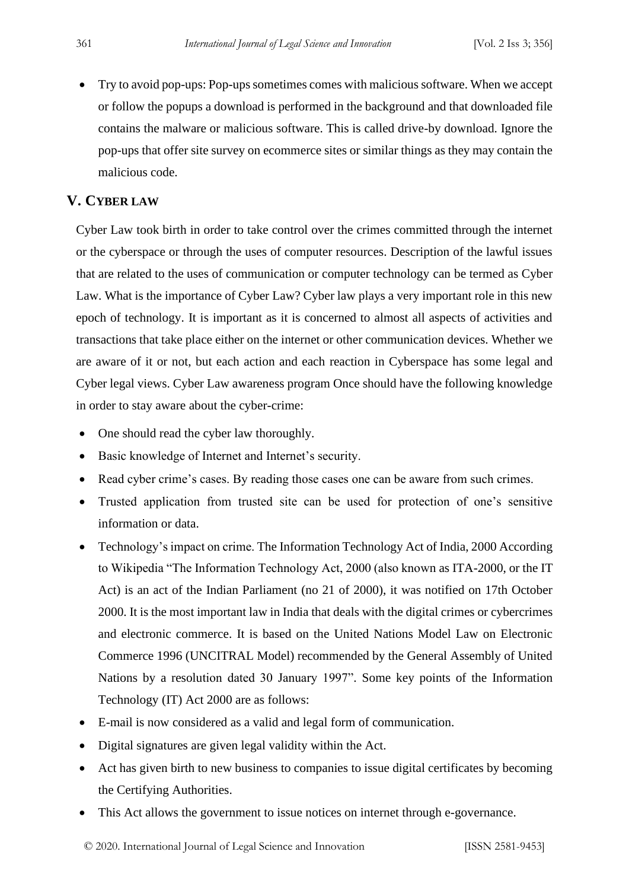• Try to avoid pop-ups: Pop-ups sometimes comes with malicious software. When we accept or follow the popups a download is performed in the background and that downloaded file contains the malware or malicious software. This is called drive-by download. Ignore the pop-ups that offer site survey on ecommerce sites or similar things as they may contain the malicious code.

# **V. CYBER LAW**

Cyber Law took birth in order to take control over the crimes committed through the internet or the cyberspace or through the uses of computer resources. Description of the lawful issues that are related to the uses of communication or computer technology can be termed as Cyber Law. What is the importance of Cyber Law? Cyber law plays a very important role in this new epoch of technology. It is important as it is concerned to almost all aspects of activities and transactions that take place either on the internet or other communication devices. Whether we are aware of it or not, but each action and each reaction in Cyberspace has some legal and Cyber legal views. Cyber Law awareness program Once should have the following knowledge in order to stay aware about the cyber-crime:

- One should read the cyber law thoroughly.
- Basic knowledge of Internet and Internet's security.
- Read cyber crime's cases. By reading those cases one can be aware from such crimes.
- Trusted application from trusted site can be used for protection of one's sensitive information or data.
- Technology's impact on crime. The Information Technology Act of India, 2000 According to Wikipedia "The Information Technology Act, 2000 (also known as ITA-2000, or the IT Act) is an act of the Indian Parliament (no 21 of 2000), it was notified on 17th October 2000. It is the most important law in India that deals with the digital crimes or cybercrimes and electronic commerce. It is based on the United Nations Model Law on Electronic Commerce 1996 (UNCITRAL Model) recommended by the General Assembly of United Nations by a resolution dated 30 January 1997". Some key points of the Information Technology (IT) Act 2000 are as follows:
- E-mail is now considered as a valid and legal form of communication.
- Digital signatures are given legal validity within the Act.
- Act has given birth to new business to companies to issue digital certificates by becoming the Certifying Authorities.
- This Act allows the government to issue notices on internet through e-governance.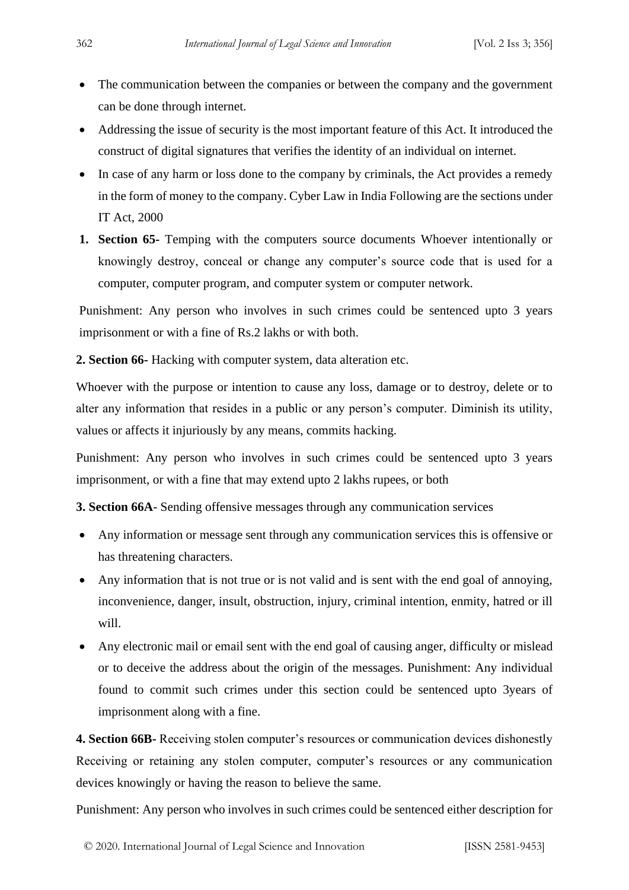- The communication between the companies or between the company and the government can be done through internet.
- Addressing the issue of security is the most important feature of this Act. It introduced the construct of digital signatures that verifies the identity of an individual on internet.
- In case of any harm or loss done to the company by criminals, the Act provides a remedy in the form of money to the company. Cyber Law in India Following are the sections under IT Act, 2000
- **1. Section 65-** Temping with the computers source documents Whoever intentionally or knowingly destroy, conceal or change any computer's source code that is used for a computer, computer program, and computer system or computer network.

Punishment: Any person who involves in such crimes could be sentenced upto 3 years imprisonment or with a fine of Rs.2 lakhs or with both.

**2. Section 66-** Hacking with computer system, data alteration etc.

Whoever with the purpose or intention to cause any loss, damage or to destroy, delete or to alter any information that resides in a public or any person's computer. Diminish its utility, values or affects it injuriously by any means, commits hacking.

Punishment: Any person who involves in such crimes could be sentenced upto 3 years imprisonment, or with a fine that may extend upto 2 lakhs rupees, or both

**3. Section 66A**- Sending offensive messages through any communication services

- Any information or message sent through any communication services this is offensive or has threatening characters.
- Any information that is not true or is not valid and is sent with the end goal of annoying, inconvenience, danger, insult, obstruction, injury, criminal intention, enmity, hatred or ill will.
- Any electronic mail or email sent with the end goal of causing anger, difficulty or mislead or to deceive the address about the origin of the messages. Punishment: Any individual found to commit such crimes under this section could be sentenced upto 3years of imprisonment along with a fine.

**4. Section 66B-** Receiving stolen computer's resources or communication devices dishonestly Receiving or retaining any stolen computer, computer's resources or any communication devices knowingly or having the reason to believe the same.

Punishment: Any person who involves in such crimes could be sentenced either description for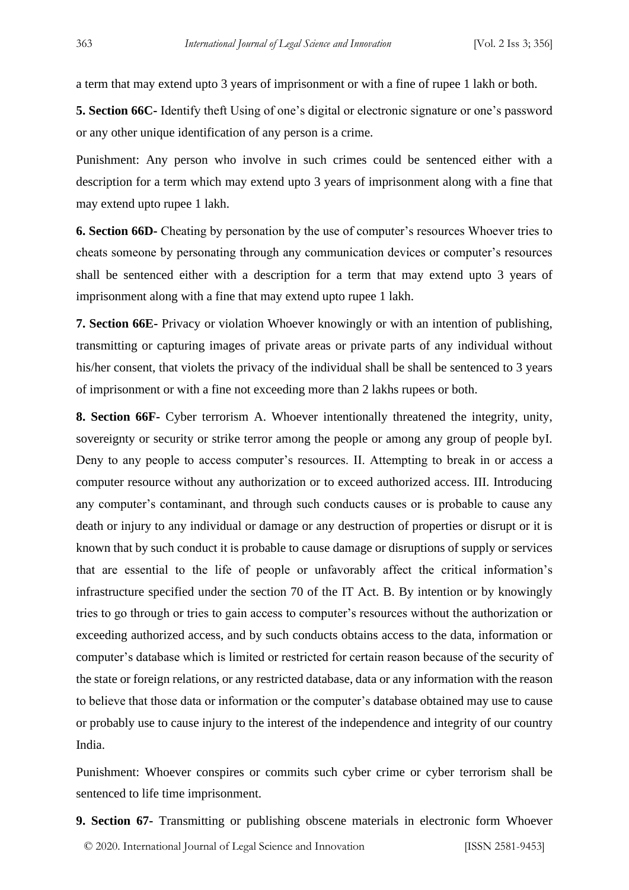a term that may extend upto 3 years of imprisonment or with a fine of rupee 1 lakh or both.

**5. Section 66C-** Identify theft Using of one's digital or electronic signature or one's password or any other unique identification of any person is a crime.

Punishment: Any person who involve in such crimes could be sentenced either with a description for a term which may extend upto 3 years of imprisonment along with a fine that may extend upto rupee 1 lakh.

**6. Section 66D-** Cheating by personation by the use of computer's resources Whoever tries to cheats someone by personating through any communication devices or computer's resources shall be sentenced either with a description for a term that may extend upto 3 years of imprisonment along with a fine that may extend upto rupee 1 lakh.

**7. Section 66E-** Privacy or violation Whoever knowingly or with an intention of publishing, transmitting or capturing images of private areas or private parts of any individual without his/her consent, that violets the privacy of the individual shall be shall be sentenced to 3 years of imprisonment or with a fine not exceeding more than 2 lakhs rupees or both.

**8. Section 66F-** Cyber terrorism A. Whoever intentionally threatened the integrity, unity, sovereignty or security or strike terror among the people or among any group of people byI. Deny to any people to access computer's resources. II. Attempting to break in or access a computer resource without any authorization or to exceed authorized access. III. Introducing any computer's contaminant, and through such conducts causes or is probable to cause any death or injury to any individual or damage or any destruction of properties or disrupt or it is known that by such conduct it is probable to cause damage or disruptions of supply or services that are essential to the life of people or unfavorably affect the critical information's infrastructure specified under the section 70 of the IT Act. B. By intention or by knowingly tries to go through or tries to gain access to computer's resources without the authorization or exceeding authorized access, and by such conducts obtains access to the data, information or computer's database which is limited or restricted for certain reason because of the security of the state or foreign relations, or any restricted database, data or any information with the reason to believe that those data or information or the computer's database obtained may use to cause or probably use to cause injury to the interest of the independence and integrity of our country India.

Punishment: Whoever conspires or commits such cyber crime or cyber terrorism shall be sentenced to life time imprisonment.

© 2020. International Journal of Legal Science and Innovation [ISSN 2581-9453] **9. Section 67-** Transmitting or publishing obscene materials in electronic form Whoever